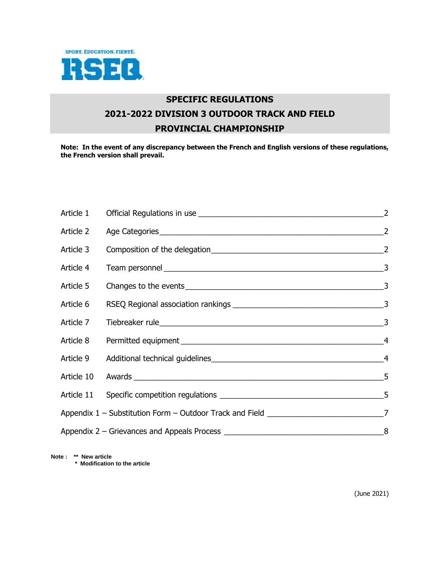

# **SPECIFIC REGULATIONS 2021-2022 DIVISION 3 OUTDOOR TRACK AND FIELD PROVINCIAL CHAMPIONSHIP**

**Note: In the event of any discrepancy between the French and English versions of these regulations, the French version shall prevail.** 

| Article 1 |                     |  |
|-----------|---------------------|--|
|           |                     |  |
| Article 3 |                     |  |
| Article 4 |                     |  |
| Article 5 |                     |  |
| Article 6 |                     |  |
| Article 7 |                     |  |
| Article 8 |                     |  |
| Article 9 |                     |  |
|           | Article 10 Awards 5 |  |
|           |                     |  |
|           |                     |  |
|           |                     |  |

**Note : \*\* New article** 

 **\* Modification to the article**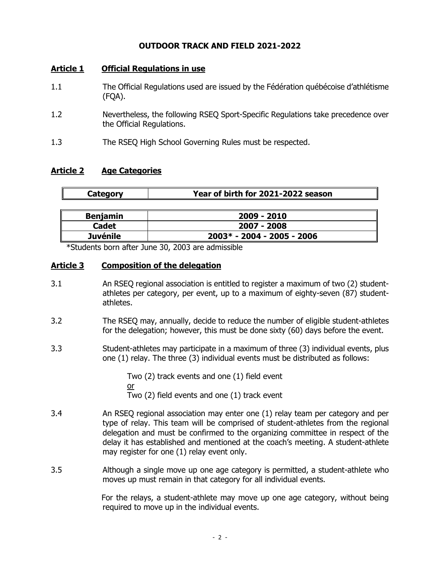### **OUTDOOR TRACK AND FIELD 2021-2022**

### <span id="page-1-0"></span>**Article 1 Official Regulations in use**

- 1.1 The Official Regulations used are issued by the Fédération québécoise d'athlétisme (FQA).
- 1.2 Nevertheless, the following RSEQ Sport-Specific Regulations take precedence over the Official Regulations.
- 1.3 The RSEQ High School Governing Rules must be respected.

#### <span id="page-1-1"></span>**Article 2 Age Categories**

| Year of birth for 2021-2022 season<br>Category |  |
|------------------------------------------------|--|
|------------------------------------------------|--|

| <b>Benjamin</b> | $2009 - 2010$              |
|-----------------|----------------------------|
| <b>Cadet</b>    | 2007 - 2008                |
| <b>Juvénile</b> | 2003* - 2004 - 2005 - 2006 |

\*Students born after June 30, 2003 are admissible

#### <span id="page-1-2"></span>**Article 3 Composition of the delegation**

- 3.1 An RSEQ regional association is entitled to register a maximum of two (2) studentathletes per category, per event, up to a maximum of eighty-seven (87) studentathletes.
- 3.2 The RSEQ may, annually, decide to reduce the number of eligible student-athletes for the delegation; however, this must be done sixty (60) days before the event.
- 3.3 Student-athletes may participate in a maximum of three (3) individual events, plus one (1) relay. The three (3) individual events must be distributed as follows:

Two (2) track events and one (1) field event or Two (2) field events and one (1) track event

- 3.4 An RSEQ regional association may enter one (1) relay team per category and per type of relay. This team will be comprised of student-athletes from the regional delegation and must be confirmed to the organizing committee in respect of the delay it has established and mentioned at the coach's meeting. A student-athlete may register for one (1) relay event only.
- 3.5 Although a single move up one age category is permitted, a student-athlete who moves up must remain in that category for all individual events.

For the relays, a student-athlete may move up one age category, without being required to move up in the individual events.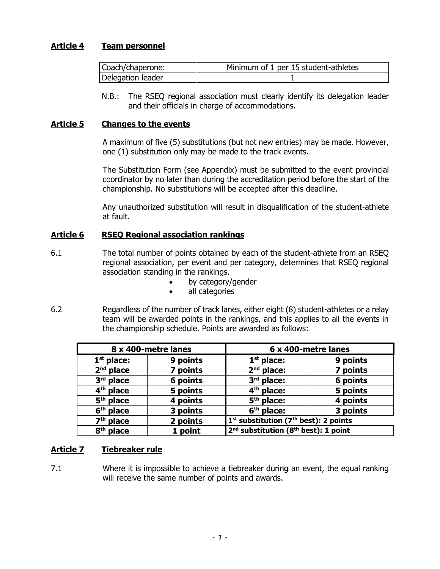### <span id="page-2-0"></span>**Article 4 Team personnel**

| Coach/chaperone:  | Minimum of 1 per 15 student-athletes |  |
|-------------------|--------------------------------------|--|
| Delegation leader |                                      |  |

N.B.: The RSEQ regional association must clearly identify its delegation leader and their officials in charge of accommodations.

#### <span id="page-2-1"></span>**Article 5 Changes to the events**

A maximum of five (5) substitutions (but not new entries) may be made. However, one (1) substitution only may be made to the track events.

The Substitution Form (see Appendix) must be submitted to the event provincial coordinator by no later than during the accreditation period before the start of the championship. No substitutions will be accepted after this deadline.

Any unauthorized substitution will result in disqualification of the student-athlete at fault.

#### <span id="page-2-2"></span>**Article 6 RSEQ Regional association rankings**

- 6.1 The total number of points obtained by each of the student-athlete from an RSEQ regional association, per event and per category, determines that RSEQ regional association standing in the rankings.
	- by category/gender
	- all categories
- 6.2 Regardless of the number of track lanes, either eight (8) student-athletes or a relay team will be awarded points in the rankings, and this applies to all the events in the championship schedule. Points are awarded as follows:

| 8 x 400-metre lanes   |          | 6 x 400-metre lanes                                 |          |  |
|-----------------------|----------|-----------------------------------------------------|----------|--|
| $1st$ place:          | 9 points | $1st$ place:                                        | 9 points |  |
| $2nd$ place           | 7 points | $2nd$ place:                                        | 7 points |  |
| $3rd$ place           | 6 points | $3rd$ place:                                        | 6 points |  |
| 4 <sup>th</sup> place | 5 points | $4th$ place:                                        | 5 points |  |
| $5th$ place           | 4 points | $5th$ place:                                        | 4 points |  |
| 6 <sup>th</sup> place | 3 points | 6 <sup>th</sup> place:                              | 3 points |  |
| $7th$ place           | 2 points | $1st$ substitution (7 <sup>th</sup> best): 2 points |          |  |
| 8 <sup>th</sup> place | 1 point  | $2^{nd}$ substitution ( $8^{th}$ best): 1 point     |          |  |

### <span id="page-2-3"></span>**Article 7 Tiebreaker rule**

7.1 Where it is impossible to achieve a tiebreaker during an event, the equal ranking will receive the same number of points and awards.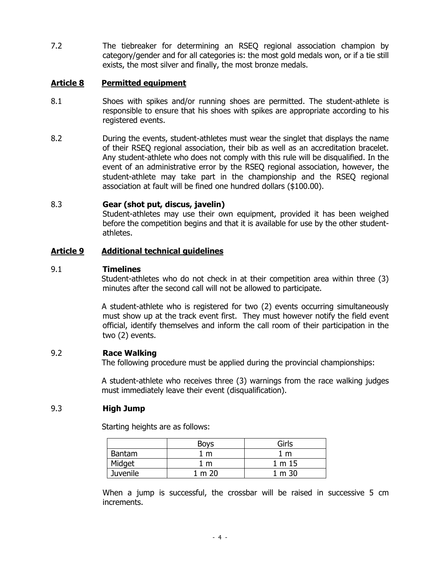7.2 The tiebreaker for determining an RSEQ regional association champion by category/gender and for all categories is: the most gold medals won, or if a tie still exists, the most silver and finally, the most bronze medals.

#### <span id="page-3-0"></span>**Article 8 Permitted equipment**

- 8.1 Shoes with spikes and/or running shoes are permitted. The student-athlete is responsible to ensure that his shoes with spikes are appropriate according to his registered events.
- 8.2 During the events, student-athletes must wear the singlet that displays the name of their RSEQ regional association, their bib as well as an accreditation bracelet. Any student-athlete who does not comply with this rule will be disqualified. In the event of an administrative error by the RSEQ regional association, however, the student-athlete may take part in the championship and the RSEQ regional association at fault will be fined one hundred dollars (\$100.00).

#### 8.3 **Gear (shot put, discus, javelin)**

Student-athletes may use their own equipment, provided it has been weighed before the competition begins and that it is available for use by the other studentathletes.

#### <span id="page-3-1"></span>**Article 9 Additional technical guidelines**

#### 9.1 **Timelines**

Student-athletes who do not check in at their competition area within three (3) minutes after the second call will not be allowed to participate.

A student-athlete who is registered for two (2) events occurring simultaneously must show up at the track event first. They must however notify the field event official, identify themselves and inform the call room of their participation in the two (2) events.

#### 9.2 **Race Walking**

The following procedure must be applied during the provincial championships:

A student-athlete who receives three (3) warnings from the race walking judges must immediately leave their event (disqualification).

#### 9.3 **High Jump**

Starting heights are as follows:

|                 | <b>Boys</b> | Girls  |
|-----------------|-------------|--------|
| Bantam          | m           | m      |
| Midget          | m           | 1 m 15 |
| <b>Juvenile</b> | 1 m 20      | 1 m 30 |

When a jump is successful, the crossbar will be raised in successive 5 cm increments.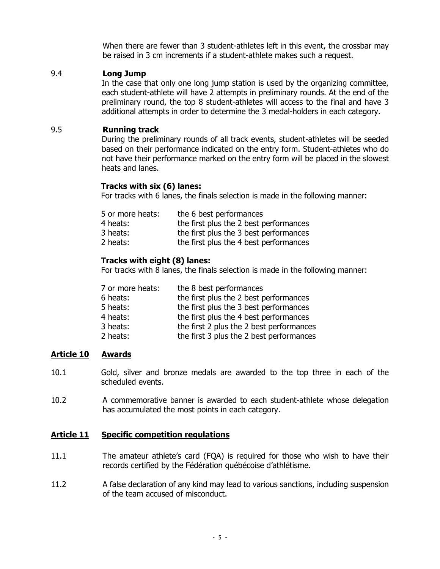When there are fewer than 3 student-athletes left in this event, the crossbar may be raised in 3 cm increments if a student-athlete makes such a request.

#### 9.4 **Long Jump**

In the case that only one long jump station is used by the organizing committee, each student-athlete will have 2 attempts in preliminary rounds. At the end of the preliminary round, the top 8 student-athletes will access to the final and have 3 additional attempts in order to determine the 3 medal-holders in each category.

### 9.5 **Running track**

During the preliminary rounds of all track events, student-athletes will be seeded based on their performance indicated on the entry form. Student-athletes who do not have their performance marked on the entry form will be placed in the slowest heats and lanes.

### **Tracks with six (6) lanes:**

For tracks with 6 lanes, the finals selection is made in the following manner:

| 5 or more heats: | the 6 best performances                |
|------------------|----------------------------------------|
| 4 heats:         | the first plus the 2 best performances |
| 3 heats:         | the first plus the 3 best performances |
| 2 heats:         | the first plus the 4 best performances |

#### **Tracks with eight (8) lanes:**

For tracks with 8 lanes, the finals selection is made in the following manner:

| 7 or more heats: | the 8 best performances                  |
|------------------|------------------------------------------|
| 6 heats:         | the first plus the 2 best performances   |
| 5 heats:         | the first plus the 3 best performances   |
| 4 heats:         | the first plus the 4 best performances   |
| 3 heats:         | the first 2 plus the 2 best performances |
| 2 heats:         | the first 3 plus the 2 best performances |

### <span id="page-4-0"></span>**Article 10 Awards**

- 10.1 Gold, silver and bronze medals are awarded to the top three in each of the scheduled events.
- 10.2 A commemorative banner is awarded to each student-athlete whose delegation has accumulated the most points in each category.

### <span id="page-4-1"></span>**Article 11 Specific competition regulations**

- 11.1 The amateur athlete's card (FQA) is required for those who wish to have their records certified by the Fédération québécoise d'athlétisme.
- 11.2 A false declaration of any kind may lead to various sanctions, including suspension of the team accused of misconduct.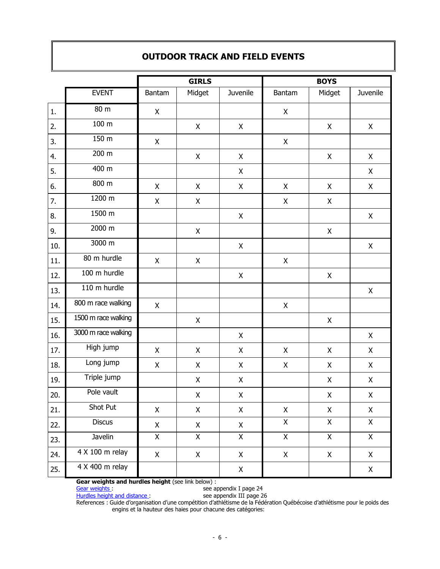## **OUTDOOR TRACK AND FIELD EVENTS**

|     |                     | <b>GIRLS</b> |                    | <b>BOYS</b>        |                |                    |                |
|-----|---------------------|--------------|--------------------|--------------------|----------------|--------------------|----------------|
|     | <b>EVENT</b>        | Bantam       | Midget             | Juvenile           | Bantam         | Midget             | Juvenile       |
| 1.  | 80 m                | X            |                    |                    | X              |                    |                |
| 2.  | 100 <sub>m</sub>    |              | X                  | X                  |                | X                  | X              |
| 3.  | 150 m               | $\mathsf{X}$ |                    |                    | $\mathsf X$    |                    |                |
| 4.  | 200 m               |              | X                  | X                  |                | X                  | X              |
| 5.  | 400 m               |              |                    | X                  |                |                    | $\mathsf X$    |
| 6.  | 800 m               | $\mathsf{X}$ | $\pmb{\mathsf{X}}$ | $\pmb{\mathsf{X}}$ | $\mathsf X$    | $\pmb{\times}$     | $\mathsf{X}$   |
| 7.  | 1200 m              | $\mathsf X$  | X                  |                    | $\mathsf X$    | X                  |                |
| 8.  | 1500 m              |              |                    | X                  |                |                    | X              |
| 9.  | 2000 m              |              | $\mathsf X$        |                    |                | $\mathsf{X}$       |                |
| 10. | 3000 m              |              |                    | $\mathsf{X}$       |                |                    | X              |
| 11. | 80 m hurdle         | X            | X                  |                    | $\mathsf X$    |                    |                |
| 12. | 100 m hurdle        |              |                    | $\pmb{\mathsf{X}}$ |                | $\pmb{\mathsf{X}}$ |                |
| 13. | 110 m hurdle        |              |                    |                    |                |                    | Χ              |
| 14. | 800 m race walking  | X            |                    |                    | X              |                    |                |
| 15. | 1500 m race walking |              | X                  |                    |                | X                  |                |
| 16. | 3000 m race walking |              |                    | X                  |                |                    | X              |
| 17. | High jump           | X            | X                  | X                  | X              | X                  | X              |
| 18. | Long jump           | X            | X                  | X                  | $\mathsf X$    | $\mathsf{X}$       | $\mathsf X$    |
| 19. | Triple jump         |              | Χ                  | Χ                  |                | X                  | $\mathsf X$    |
| 20. | Pole vault          |              | Χ                  | Χ                  |                | $\pmb{\mathsf{X}}$ | $\mathsf X$    |
| 21. | Shot Put            | $\mathsf X$  | $\mathsf X$        | $\mathsf{X}$       | $\mathsf X$    | X                  | $\mathsf X$    |
| 22. | Discus              | $\mathsf X$  | $\mathsf X$        | $\mathsf X$        | $\mathsf X$    | $\mathsf X$        | $\mathsf X$    |
| 23. | Javelin             | $\mathsf X$  | $\mathsf{X}$       | $\mathsf{X}$       | $\overline{X}$ | $\overline{X}$     | $\overline{X}$ |
| 24. | 4 X 100 m relay     | $\mathsf X$  | $\mathsf X$        | $\mathsf X$        | $\mathsf X$    | $\mathsf{X}$       | $\mathsf X$    |
| 25. | 4 X 400 m relay     |              |                    | $\mathsf X$        |                |                    | $\mathsf X$    |

**Gear weights and hurdles height** (see link below) :

[Gear weights](https://www.athletisme-quebec.ca/medias/guide-1-organisation-competition-dathletisme-juin2015.pdf) : see appendix I page 24

[Hurdles height and distance](https://www.athletisme-quebec.ca/medias/guide-1-organisation-competition-dathletisme-juin2015.pdf) : see appendix III page 26

References : Guide d'organisation d'une compétition d'athlétisme de la Fédération Québécoise d'athlétisme pour le poids des engins et la hauteur des haies pour chacune des catégories: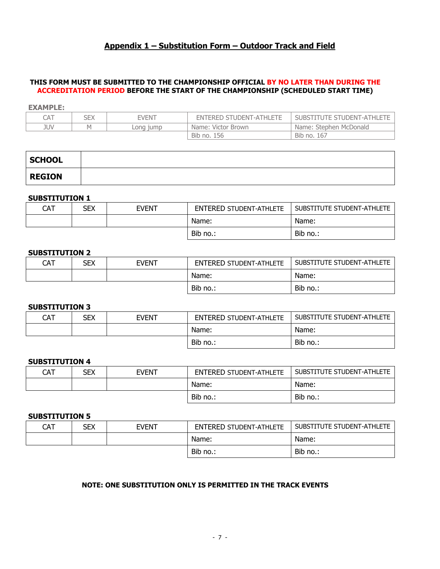### **Appendix 1 – Substitution Form – Outdoor Track and Field**

#### <span id="page-6-0"></span>**THIS FORM MUST BE SUBMITTED TO THE CHAMPIONSHIP OFFICIAL BY NO LATER THAN DURING THE ACCREDITATION PERIOD BEFORE THE START OF THE CHAMPIONSHIP (SCHEDULED START TIME)**

**EXAMPLE:**

| CAT              | SEX | <b>EVENT</b>       | ENTERED STUDENT-ATHLETE | SUBSTITUTE STUDENT-ATHLETE |
|------------------|-----|--------------------|-------------------------|----------------------------|
| JUV<br>Lona iump |     | Name: Victor Brown | Name: Stephen McDonald  |                            |
|                  |     |                    | Bib no. 1<br>156        | Bib no. 167                |

| <b>SCHOOL</b> |  |
|---------------|--|
| <b>REGION</b> |  |

#### **SUBSTITUTION 1**

| CAT | SEX | <b>EVENT</b> | <b>ENTERED STUDENT-ATHLETE</b> | SUBSTITUTE STUDENT-ATHLETE |
|-----|-----|--------------|--------------------------------|----------------------------|
|     |     |              | Name:                          | Name:                      |
|     |     |              | Bib no.:                       | Bib no.:                   |

#### **SUBSTITUTION 2**

| CAT | SEX | EVENT | <b>ENTERED STUDENT-ATHLETE</b> | SUBSTITUTE STUDENT-ATHLETE |
|-----|-----|-------|--------------------------------|----------------------------|
|     |     |       | Name:                          | Name:                      |
|     |     |       | Bib no.:                       | Bib no.:                   |

#### **SUBSTITUTION 3**

| CAT | SEX | <b>EVENT</b> | <b>ENTERED STUDENT-ATHLETE</b> | SUBSTITUTE STUDENT-ATHLETE |
|-----|-----|--------------|--------------------------------|----------------------------|
|     |     |              | Name:                          | Name:                      |
|     |     |              | Bib no.:                       | Bib no.:                   |

#### **SUBSTITUTION 4**

| CAT | SEX | EVENT | <b>ENTERED STUDENT-ATHLETE</b> | SUBSTITUTE STUDENT-ATHLETE |
|-----|-----|-------|--------------------------------|----------------------------|
|     |     |       | Name:                          | Name:                      |
|     |     |       | Bib no.:                       | Bib no.:                   |

#### **SUBSTITUTION 5**

| $\mathsf{CAT}$ | SEX | EVENT | <b>ENTERED STUDENT-ATHLETE</b> | SUBSTITUTE STUDENT-ATHLETE |
|----------------|-----|-------|--------------------------------|----------------------------|
|                |     |       | Name:                          | Name:                      |
|                |     |       | Bib no.:                       | Bib no.:                   |

#### **NOTE: ONE SUBSTITUTION ONLY IS PERMITTED IN THE TRACK EVENTS**